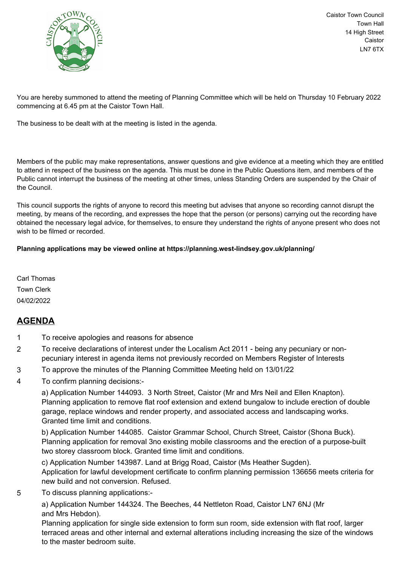

Caistor Town Council Town Hall 14 High Street Caistor LN7 6TX

You are hereby summoned to attend the meeting of Planning Committee which will be held on Thursday 10 February 2022 commencing at 6.45 pm at the Caistor Town Hall.

The business to be dealt with at the meeting is listed in the agenda.

Members of the public may make representations, answer questions and give evidence at a meeting which they are entitled to attend in respect of the business on the agenda. This must be done in the Public Questions item, and members of the Public cannot interrupt the business of the meeting at other times, unless Standing Orders are suspended by the Chair of the Council.

This council supports the rights of anyone to record this meeting but advises that anyone so recording cannot disrupt the meeting, by means of the recording, and expresses the hope that the person (or persons) carrying out the recording have obtained the necessary legal advice, for themselves, to ensure they understand the rights of anyone present who does not wish to be filmed or recorded.

## **Planning applications may be viewed online at https://planning.west-lindsey.gov.uk/planning/**

Carl Thomas Town Clerk 04/02/2022

## **AGENDA**

- 1 To receive apologies and reasons for absence
- 2 To receive declarations of interest under the Localism Act 2011 being any pecuniary or nonpecuniary interest in agenda items not previously recorded on Members Register of Interests
- 3 To approve the minutes of the Planning Committee Meeting held on 13/01/22
- 4 To confirm planning decisions:-

a) Application Number 144093. 3 North Street, Caistor (Mr and Mrs Neil and Ellen Knapton). Planning application to remove flat roof extension and extend bungalow to include erection of double garage, replace windows and render property, and associated access and landscaping works. Granted time limit and conditions.

b) Application Number 144085. Caistor Grammar School, Church Street, Caistor (Shona Buck). Planning application for removal 3no existing mobile classrooms and the erection of a purpose-built two storey classroom block. Granted time limit and conditions.

c) Application Number 143987. Land at Brigg Road, Caistor (Ms Heather Sugden). Application for lawful development certificate to confirm planning permission 136656 meets criteria for new build and not conversion. Refused.

5 To discuss planning applications:-

a) Application Number 144324. The Beeches, 44 Nettleton Road, Caistor LN7 6NJ (Mr and Mrs Hebdon).

Planning application for single side extension to form sun room, side extension with flat roof, larger terraced areas and other internal and external alterations including increasing the size of the windows to the master bedroom suite.